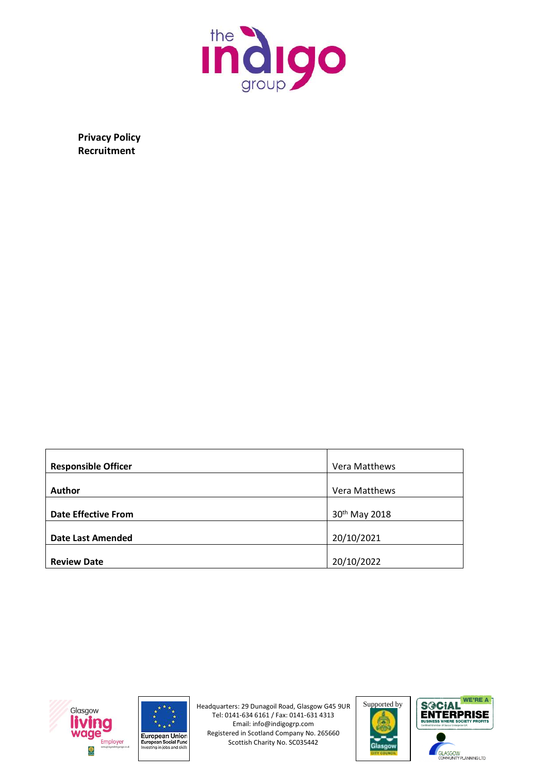

**Privacy Policy Recruitment**

| <b>Responsible Officer</b> | Vera Matthews |  |
|----------------------------|---------------|--|
| <b>Author</b>              | Vera Matthews |  |
| <b>Date Effective From</b> | 30th May 2018 |  |
| <b>Date Last Amended</b>   | 20/10/2021    |  |
| <b>Review Date</b>         | 20/10/2022    |  |







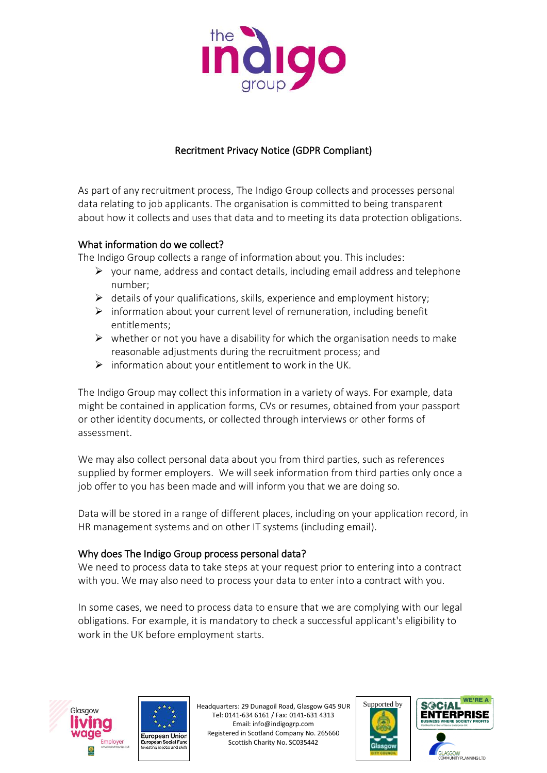

# Recritment Privacy Notice (GDPR Compliant)

As part of any recruitment process, The Indigo Group collects and processes personal data relating to job applicants. The organisation is committed to being transparent about how it collects and uses that data and to meeting its data protection obligations.

## What information do we collect?

The Indigo Group collects a range of information about you. This includes:

- $\triangleright$  your name, address and contact details, including email address and telephone number;
- $\triangleright$  details of your qualifications, skills, experience and employment history;
- $\triangleright$  information about your current level of remuneration, including benefit entitlements;
- $\triangleright$  whether or not you have a disability for which the organisation needs to make reasonable adjustments during the recruitment process; and
- $\triangleright$  information about your entitlement to work in the UK.

The Indigo Group may collect this information in a variety of ways. For example, data might be contained in application forms, CVs or resumes, obtained from your passport or other identity documents, or collected through interviews or other forms of assessment.

We may also collect personal data about you from third parties, such as references supplied by former employers. We will seek information from third parties only once a job offer to you has been made and will inform you that we are doing so.

Data will be stored in a range of different places, including on your application record, in HR management systems and on other IT systems (including email).

## Why does The Indigo Group process personal data?

We need to process data to take steps at your request prior to entering into a contract with you. We may also need to process your data to enter into a contract with you.

In some cases, we need to process data to ensure that we are complying with our legal obligations. For example, it is mandatory to check a successful applicant's eligibility to work in the UK before employment starts.







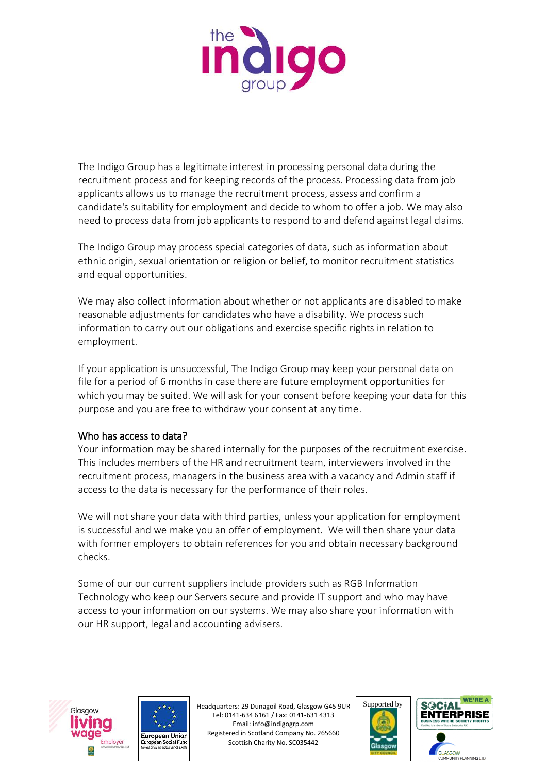

The Indigo Group has a legitimate interest in processing personal data during the recruitment process and for keeping records of the process. Processing data from job applicants allows us to manage the recruitment process, assess and confirm a candidate's suitability for employment and decide to whom to offer a job. We may also need to process data from job applicants to respond to and defend against legal claims.

The Indigo Group may process special categories of data, such as information about ethnic origin, sexual orientation or religion or belief, to monitor recruitment statistics and equal opportunities.

We may also collect information about whether or not applicants are disabled to make reasonable adjustments for candidates who have a disability. We process such information to carry out our obligations and exercise specific rights in relation to employment.

If your application is unsuccessful, The Indigo Group may keep your personal data on file for a period of 6 months in case there are future employment opportunities for which you may be suited. We will ask for your consent before keeping your data for this purpose and you are free to withdraw your consent at any time.

#### Who has access to data?

Your information may be shared internally for the purposes of the recruitment exercise. This includes members of the HR and recruitment team, interviewers involved in the recruitment process, managers in the business area with a vacancy and Admin staff if access to the data is necessary for the performance of their roles.

We will not share your data with third parties, unless your application for employment is successful and we make you an offer of employment. We will then share your data with former employers to obtain references for you and obtain necessary background checks.

Some of our our current suppliers include providers such as RGB Information Technology who keep our Servers secure and provide IT support and who may have access to your information on our systems. We may also share your information with our HR support, legal and accounting advisers.







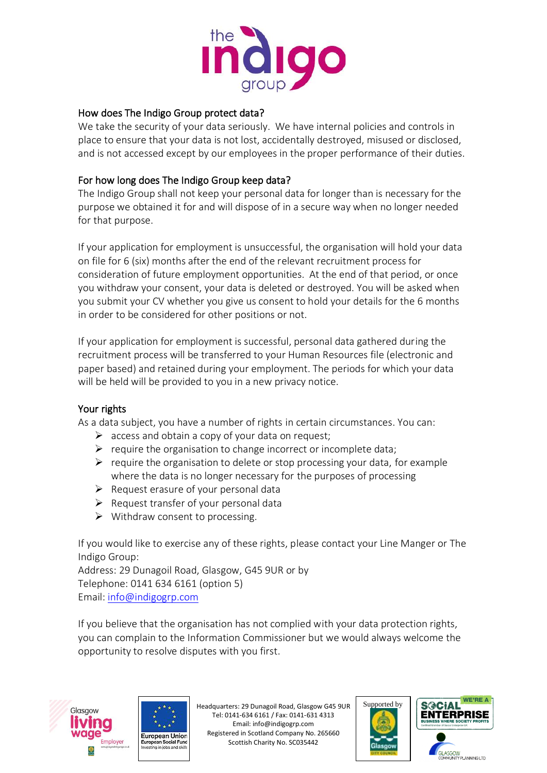

#### How does The Indigo Group protect data?

We take the security of your data seriously. We have internal policies and controls in place to ensure that your data is not lost, accidentally destroyed, misused or disclosed, and is not accessed except by our employees in the proper performance of their duties.

## For how long does The Indigo Group keep data?

The Indigo Group shall not keep your personal data for longer than is necessary for the purpose we obtained it for and will dispose of in a secure way when no longer needed for that purpose.

If your application for employment is unsuccessful, the organisation will hold your data on file for 6 (six) months after the end of the relevant recruitment process for consideration of future employment opportunities. At the end of that period, or once you withdraw your consent, your data is deleted or destroyed. You will be asked when you submit your CV whether you give us consent to hold your details for the 6 months in order to be considered for other positions or not.

If your application for employment is successful, personal data gathered during the recruitment process will be transferred to your Human Resources file (electronic and paper based) and retained during your employment. The periods for which your data will be held will be provided to you in a new privacy notice.

## Your rights

As a data subject, you have a number of rights in certain circumstances. You can:

- $\triangleright$  access and obtain a copy of your data on request;
- $\triangleright$  require the organisation to change incorrect or incomplete data;
- $\triangleright$  require the organisation to delete or stop processing your data, for example where the data is no longer necessary for the purposes of processing
- $\triangleright$  Request erasure of your personal data
- $\triangleright$  Request transfer of your personal data
- ➢ Withdraw consent to processing.

If you would like to exercise any of these rights, please contact your Line Manger or The Indigo Group:

Address: 29 Dunagoil Road, Glasgow, G45 9UR or by Telephone: 0141 634 6161 (option 5) Email: [info@indigogrp.com](mailto:info@indigogrp.com)

If you believe that the organisation has not complied with your data protection rights, you can complain to the Information Commissioner but we would always welcome the opportunity to resolve disputes with you first.







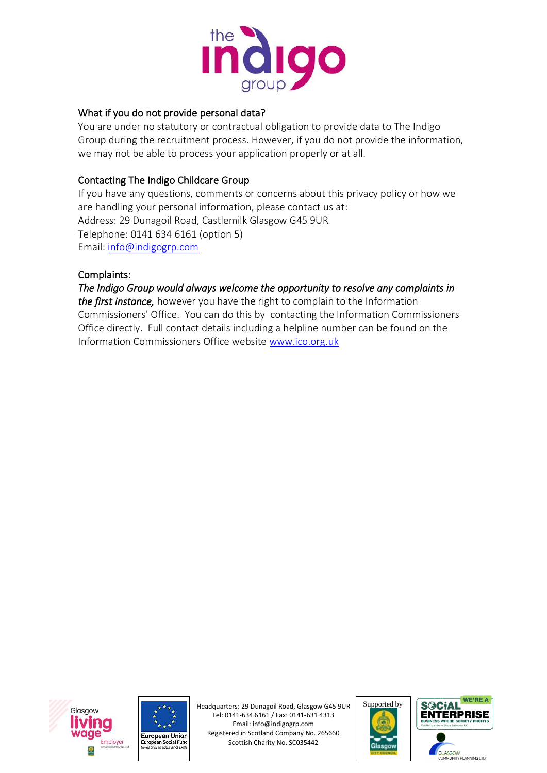

#### What if you do not provide personal data?

You are under no statutory or contractual obligation to provide data to The Indigo Group during the recruitment process. However, if you do not provide the information, we may not be able to process your application properly or at all.

## Contacting The Indigo Childcare Group

If you have any questions, comments or concerns about this privacy policy or how we are handling your personal information, please contact us at: Address: 29 Dunagoil Road, Castlemilk Glasgow G45 9UR Telephone: 0141 634 6161 (option 5) Email: [info@indigogrp.com](mailto:info@indigogrp.com)

#### Complaints:

*The Indigo Group would always welcome the opportunity to resolve any complaints in the first instance,* however you have the right to complain to the Information Commissioners' Office. You can do this by contacting the Information Commissioners Office directly. Full contact details including a helpline number can be found on the Information Commissioners Office website [www.ico.org.uk](http://www.ico.org.uk/)